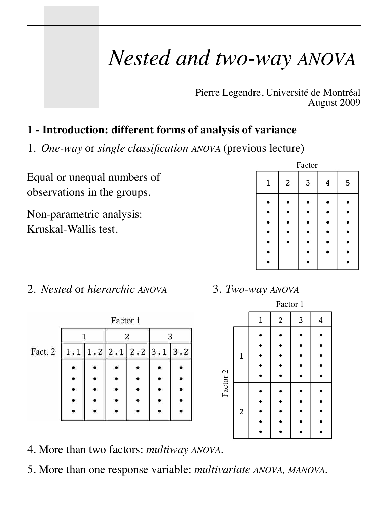# *Nested and two-way ANOVA*

Pierre Legendre, Université de Montréal August 2009

# **1 - Introduction: different forms of analysis of variance**

1. *One-way* or *single classification ANOVA* (previous lecture)

Equal or unequal numbers of observations in the groups.

Non-parametric analysis: Kruskal-Wallis test.

|   |   | Factor |   |   |
|---|---|--------|---|---|
| 1 | 2 | 3      | 4 | 5 |
|   |   |        |   |   |
|   |   |        |   |   |
|   |   |        |   |   |
|   |   |        |   |   |

2. *Nested* or *hierarchic ANOVA* 3. *Two-way ANOVA*

|         |     | Factor 1 |                               |     |
|---------|-----|----------|-------------------------------|-----|
|         |     |          | 2                             | 3   |
| Fact. 2 | 1.1 |          | $1.2$   $2.1$   $2.2$   $3.1$ | 3.2 |
|         |     |          |                               |     |
|         |     |          |                               |     |
|         |     |          |                               |     |
|         |     |          |                               |     |
|         |     |          |                               |     |

|          |                         | Factor 1 |   |   |   |
|----------|-------------------------|----------|---|---|---|
|          |                         | 1        | 2 | 3 | 4 |
| Factor 2 | 1                       |          |   |   |   |
|          |                         |          |   |   |   |
|          | $\overline{\mathbf{c}}$ |          |   |   |   |

- 4. More than two factors: *multiway ANOVA.*
- 5. More than one response variable: *multivariate ANOVA, MANOVA*.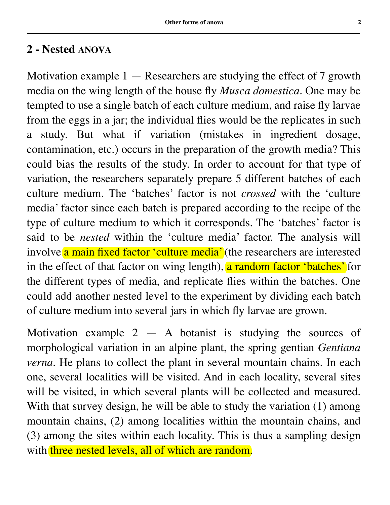#### **2 - Nested ANOVA**

Motivation example  $1 -$  Researchers are studying the effect of 7 growth media on the wing length of the house fly *Musca domestica*. One may be tempted to use a single batch of each culture medium, and raise fly larvae from the eggs in a jar; the individual flies would be the replicates in such a study. But what if variation (mistakes in ingredient dosage, contamination, etc.) occurs in the preparation of the growth media? This could bias the results of the study. In order to account for that type of variation, the researchers separately prepare 5 different batches of each culture medium. The 'batches' factor is not *crossed* with the 'culture media' factor since each batch is prepared according to the recipe of the type of culture medium to which it corresponds. The 'batches' factor is said to be *nested* within the 'culture media' factor. The analysis will involve a main fixed factor 'culture media' (the researchers are interested in the effect of that factor on wing length), a random factor 'batches' for the different types of media, and replicate flies within the batches. One could add another nested level to the experiment by dividing each batch of culture medium into several jars in which fly larvae are grown.

Motivation example  $2 - A$  botanist is studying the sources of morphological variation in an alpine plant, the spring gentian *Gentiana verna*. He plans to collect the plant in several mountain chains. In each one, several localities will be visited. And in each locality, several sites will be visited, in which several plants will be collected and measured. With that survey design, he will be able to study the variation (1) among mountain chains, (2) among localities within the mountain chains, and (3) among the sites within each locality. This is thus a sampling design with three nested levels, all of which are random.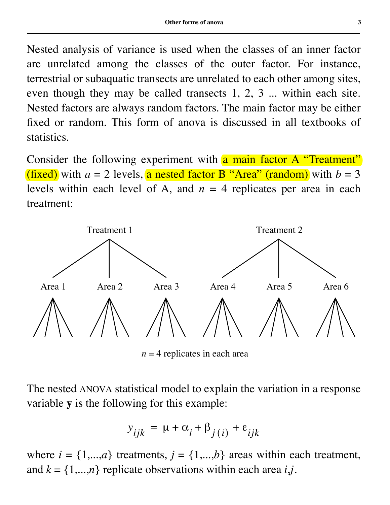Nested analysis of variance is used when the classes of an inner factor are unrelated among the classes of the outer factor. For instance, terrestrial or subaquatic transects are unrelated to each other among sites, even though they may be called transects 1, 2, 3 ... within each site. Nested factors are always random factors. The main factor may be either fixed or random. This form of anova is discussed in all textbooks of statistics.

Consider the following experiment with a main factor A "Treatment" (fixed) with  $a = 2$  levels, a nested factor B "Area" (random) with  $b = 3$ levels within each level of A, and  $n = 4$  replicates per area in each treatment:



 $n = 4$  replicates in each area

The nested ANOVA statistical model to explain the variation in a response variable **y** is the following for this example:

$$
y_{ijk} = \mu + \alpha_i + \beta_{j(i)} + \varepsilon_{ijk}
$$

where  $i = \{1,...,a\}$  treatments,  $j = \{1,...,b\}$  areas within each treatment, and  $k = \{1,...,n\}$  replicate observations within each area *i*,*j*.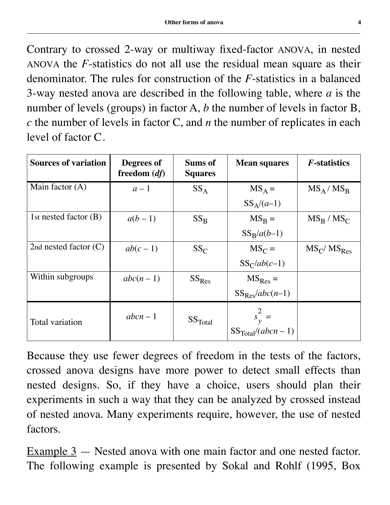Contrary to crossed 2-way or multiway fixed-factor ANOVA, in nested ANOVA the *F*-statistics do not all use the residual mean square as their denominator. The rules for construction of the *F*-statistics in a balanced 3-way nested anova are described in the following table, where *a* is the number of levels (groups) in factor A, *b* the number of levels in factor B, *c* the number of levels in factor C, and *n* the number of replicates in each level of factor C.

| <b>Sources of variation</b> | Degrees of<br>freedom $(df)$ | <b>Sums of</b><br><b>Squares</b> | <b>Mean squares</b>                        | <i>F</i> -statistics |
|-----------------------------|------------------------------|----------------------------------|--------------------------------------------|----------------------|
| Main factor $(A)$           | $a-1$                        | $SS_A$                           | $MS_A =$                                   | $MS_A / MS_B$        |
|                             |                              |                                  | $SS_A/(a-1)$                               |                      |
| 1st nested factor $(B)$     | $a(b-1)$                     | $SS_{\rm B}$                     | $MS_{\rm R} =$                             | $MS_B / MS_C$        |
|                             |                              |                                  | $SS_B/a(b-1)$                              |                      |
| 2nd nested factor $(C)$     | $ab(c-1)$                    | $SS_C$                           | $MS_C =$                                   | $MS_C/MS_{Res}$      |
|                             |                              |                                  | $SS_C/ab(c-1)$                             |                      |
| Within subgroups            | $abc(n-1)$                   | $SS_{Res}$                       | $MS_{Res} =$                               |                      |
|                             |                              |                                  | $SS_{Res}/abc(n-1)$                        |                      |
| Total variation             | $abcn-1$                     | SS <sub>Total</sub>              | $s_y^2 =$ SS <sub>Total</sub> $(abcn - 1)$ |                      |

Because they use fewer degrees of freedom in the tests of the factors, crossed anova designs have more power to detect small effects than nested designs. So, if they have a choice, users should plan their experiments in such a way that they can be analyzed by crossed instead of nested anova. Many experiments require, however, the use of nested factors.

Example 3 — Nested anova with one main factor and one nested factor. The following example is presented by Sokal and Rohlf (1995, Box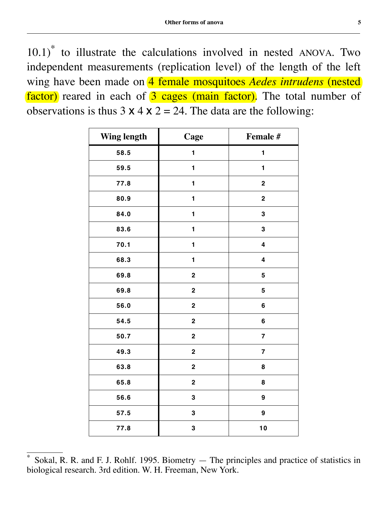10.1)\* to illustrate the calculations involved in nested ANOVA. Two independent measurements (replication level) of the length of the left wing have been made on 4 female mosquitoes *Aedes intrudens* (nested factor) reared in each of 3 cages (main factor). The total number of observations is thus  $3 \times 4 \times 2 = 24$ . The data are the following:

| <b>Wing length</b> | Cage                    | Female #                |
|--------------------|-------------------------|-------------------------|
| 58.5               | $\mathbf{1}$            | 1                       |
| 59.5               | $\mathbf{1}$            | $\mathbf{1}$            |
| 77.8               | 1                       | $\mathbf 2$             |
| 80.9               | 1                       | $\bf 2$                 |
| 84.0               | $\mathbf{1}$            | 3                       |
| 83.6               | 1                       | ${\bf 3}$               |
| 70.1               | $\mathbf{1}$            | $\overline{\mathbf{4}}$ |
| 68.3               | 1                       | $\overline{\mathbf{4}}$ |
| 69.8               | $\bf 2$                 | 5                       |
| 69.8               | $\mathbf 2$             | 5                       |
| 56.0               | $\boldsymbol{2}$        | 6                       |
| 54.5               | $\bf 2$                 | 6                       |
| 50.7               | $\bf 2$                 | $\overline{\mathbf{7}}$ |
| 49.3               | $\mathbf 2$             | $\overline{\mathbf{7}}$ |
| 63.8               | $\mathbf 2$             | 8                       |
| 65.8               | $\overline{\mathbf{2}}$ | 8                       |
| 56.6               | ${\bf 3}$               | 9                       |
| 57.5               | ${\bf 3}$               | 9                       |
| 77.8               | ${\bf 3}$               | 10                      |

Sokal, R. R. and F. J. Rohlf. 1995. Biometry — The principles and practice of statistics in biological research. 3rd edition. W. H. Freeman, New York.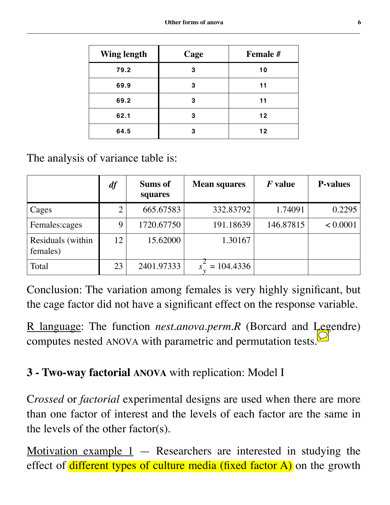| <b>Wing length</b> | Cage | Female # |
|--------------------|------|----------|
| 79.2               | 3    | 10       |
| 69.9               | 3    | 11       |
| 69.2               | 3    | 11       |
| 62.1               | 3    | 12       |
| 64.5               | 3    | 12       |

The analysis of variance table is:

|                               | df          | Sums of<br>squares | <b>Mean squares</b> | $F$ value | <b>P-values</b> |
|-------------------------------|-------------|--------------------|---------------------|-----------|-----------------|
| Cages                         |             | 665.67583          | 332.83792           | 1.74091   | 0.2295          |
| Females:cages                 | $\mathbf Q$ | 1720.67750         | 191.18639           | 146.87815 | < 0.0001        |
| Residuals (within<br>females) | 12          | 15.62000           | 1.30167             |           |                 |
| Total                         | 23          | 2401.97333         | $= 104.4336$        |           |                 |

Conclusion: The variation among females is very highly significant, but the cage factor did not have a significant effect on the response variable.

R language: The function *nest.anova.perm.R* (Borcard and Legendre) computes nested ANOVA with parametric and permutation tests.

# **3 - Two-way factorial ANOVA** with replication: Model I

C*rossed* or *factorial* experimental designs are used when there are more than one factor of interest and the levels of each factor are the same in the levels of the other factor(s).

Motivation example  $1$  — Researchers are interested in studying the effect of different types of culture media (fixed factor  $A$ ) on the growth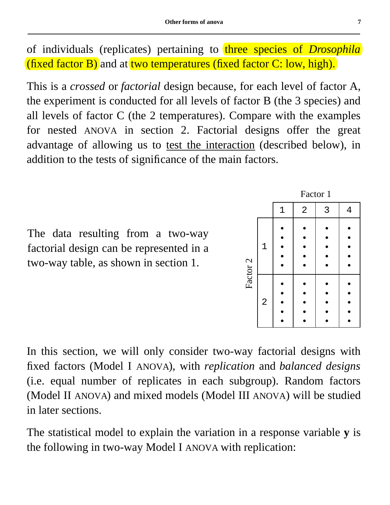of individuals (replicates) pertaining to three species of *Drosophila* (fixed factor B) and at two temperatures (fixed factor C: low, high).

This is a *crossed* or *factorial* design because, for each level of factor A, the experiment is conducted for all levels of factor B (the 3 species) and all levels of factor C (the 2 temperatures). Compare with the examples for nested ANOVA in section 2. Factorial designs offer the great advantage of allowing us to test the interaction (described below), in addition to the tests of significance of the main factors.

The data resulting from a two-way factorial design can be represented in a two-way table, as shown in section 1.

In this section, we will only consider two-way factorial designs with fixed factors (Model I ANOVA), with *replication* and *balanced designs* (i.e. equal number of replicates in each subgroup). Random factors (Model II ANOVA) and mixed models (Model III ANOVA) will be studied in later sections.

The statistical model to explain the variation in a response variable **y** is the following in two-way Model I ANOVA with replication:



Factor 1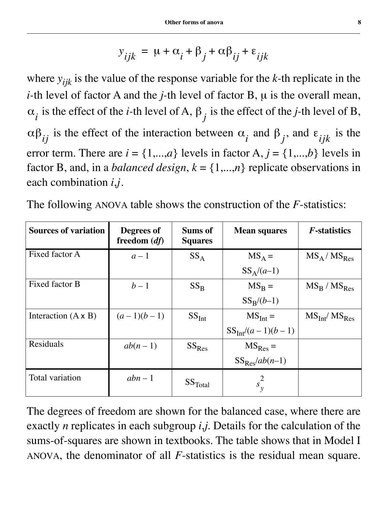$$
y_{ijk} = \mu + \alpha_i + \beta_j + \alpha \beta_{ij} + \varepsilon_{ijk}
$$

where *yijk* is the value of the response variable for the *k-*th replicate in the *i-*th level of factor A and the *j-*th level of factor B, µ is the overall mean,  $\alpha_i$  is the effect of the *i*-th level of A,  $\beta_j$  is the effect of the *j*-th level of B,  $\alpha\beta_{ij}$  is the effect of the interaction between  $\alpha_i$  and  $\beta_j$ , and  $\epsilon_{ijk}$  is the error term. There are  $i = \{1,...,a\}$  levels in factor A,  $j = \{1,...,b\}$  levels in factor B, and, in a *balanced design*,  $k = \{1,...,n\}$  replicate observations in each combination *i*,*j*.

| <b>Sources of variation</b> | Degrees of<br>freedom $(df)$ | <b>Sums of</b><br><b>Squares</b> | <b>Mean squares</b>   | <b>F</b> -statistics                  |
|-----------------------------|------------------------------|----------------------------------|-----------------------|---------------------------------------|
| Fixed factor A              | $a-1$                        | $SS_A$                           | $MS_A =$              | $MS_A / MS_{Res}$                     |
|                             |                              |                                  | $SS_A/(a-1)$          |                                       |
| Fixed factor B              | $b-1$                        | $SS_{R}$                         | $MS_{\rm R} =$        | $MS_R / MS_{Res}$                     |
|                             |                              |                                  | $SS_R/(b-1)$          |                                       |
| Interaction $(A \times B)$  | $(a-1)(b-1)$                 | SS <sub>Int</sub>                | $MS_{Int} =$          | MS <sub>Int</sub> / MS <sub>Res</sub> |
|                             |                              |                                  | $SS_{Int}/(a-1)(b-1)$ |                                       |
| Residuals                   | $ab(n-1)$                    | $SS_{Res}$                       | $MS_{Res} =$          |                                       |
|                             |                              |                                  | $SS_{Res}/ab(n-1)$    |                                       |
| Total variation             | $abn-1$                      | SS <sub>Total</sub>              | $s_v^2$               |                                       |

The following ANOVA table shows the construction of the *F*-statistics:

The degrees of freedom are shown for the balanced case, where there are exactly *n* replicates in each subgroup *i*,*j*. Details for the calculation of the sums-of-squares are shown in textbooks. The table shows that in Model I ANOVA, the denominator of all *F*-statistics is the residual mean square.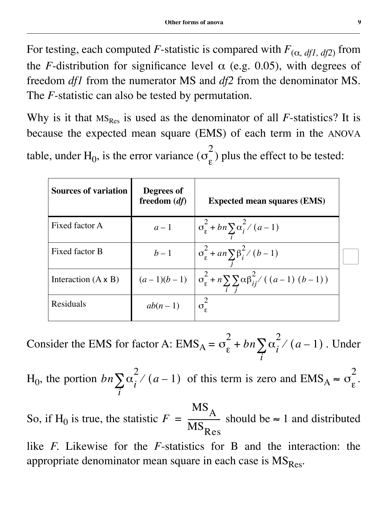For testing, each computed *F*-statistic is compared with  $F_{(\alpha, df1, df2)}$  from the *F*-distribution for significance level  $\alpha$  (e.g. 0.05), with degrees of freedom *df1* from the numerator MS and *df2* from the denominator MS. The *F*-statistic can also be tested by permutation.

Why is it that  $MS_{Res}$  is used as the denominator of all *F*-statistics? It is because the expected mean square (EMS) of each term in the ANOVA

table, under H<sub>0</sub>, is the error variance  $(\sigma_{\epsilon}^2)$  plus the effect to be tested: 2

| <b>Sources of variation</b> | Degrees of<br>freedom $(df)$ | <b>Expected mean squares (EMS)</b>                                                                  |  |
|-----------------------------|------------------------------|-----------------------------------------------------------------------------------------------------|--|
| Fixed factor A              | $a-1$                        | $\sigma_{\varepsilon}^2 + bn \sum \alpha_i^2 / (a-1)$                                               |  |
| Fixed factor B              | $b-1$                        | $\sigma_{\varepsilon}^2 + a n \sum_{i} \beta_i^2 / (b-1)$                                           |  |
| Interaction $(A \times B)$  |                              | $(a-1)(b-1)$ $\sigma_{\varepsilon}^{2} + n \sum_{i} \sum_{j} \alpha \beta_{ij}^{2} / ((a-1) (b-1))$ |  |
| Residuals                   | $ab(n-1)$                    | $\sigma$                                                                                            |  |

Consider the EMS for factor A:  $\text{EMS}_{A} = \sigma_{\varepsilon}^{2} + bn \sum_{i} \alpha_{i}^{2} / (a-1)$ . Under *i*  $+bn\sum$ 

 $H_0$ , the portion  $bn \sum \alpha_i^2 / (a-1)$  of this term is zero and  $EMS_A \approx \sigma_{\epsilon}^2$ . *i*  $\sum \alpha_i^2 / (a-1)$  of this term is zero and  $\text{EMS}_A \approx \sigma_{\varepsilon}$ 2

So, if H<sub>0</sub> is true, the statistic  $F = \frac{A}{MS}$  should be  $\approx 1$  and distributed  $MS_{\overline{A}}$  $\mathrm{MS}_\mathrm{Res}$  $=\frac{A}{MC}$ 

like *F*. Likewise for the *F*-statistics for B and the interaction: the appropriate denominator mean square in each case is  $MS_{Res}$ .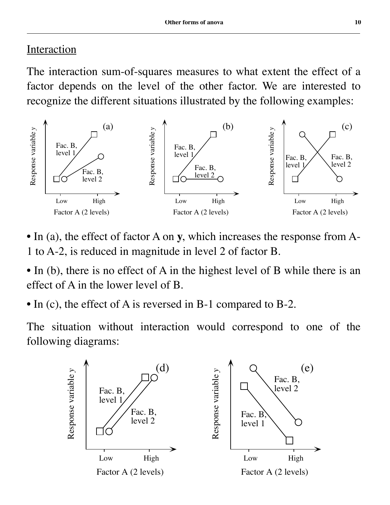#### **Interaction**

The interaction sum-of-squares measures to what extent the effect of a factor depends on the level of the other factor. We are interested to recognize the different situations illustrated by the following examples:



- In (a), the effect of factor A on **y**, which increases the response from A-1 to A-2, is reduced in magnitude in level 2 of factor B.
- In (b), there is no effect of A in the highest level of B while there is an effect of A in the lower level of B.
- In (c), the effect of A is reversed in B-1 compared to B-2.

The situation without interaction would correspond to one of the following diagrams:

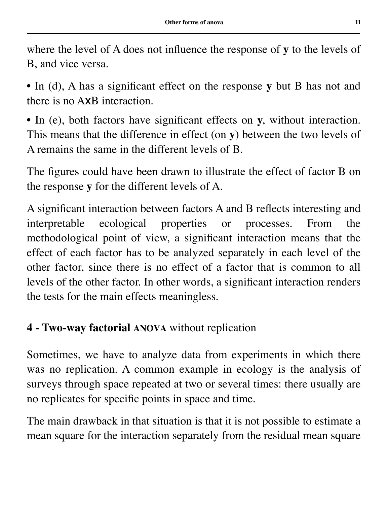where the level of A does not influence the response of **y** to the levels of B, and vice versa.

• In (d), A has a significant effect on the response **y** but B has not and there is no AxB interaction.

• In (e), both factors have significant effects on **y**, without interaction. This means that the difference in effect (on **y**) between the two levels of A remains the same in the different levels of B.

The figures could have been drawn to illustrate the effect of factor B on the response **y** for the different levels of A.

A significant interaction between factors A and B reflects interesting and interpretable ecological properties or processes. From the methodological point of view, a significant interaction means that the effect of each factor has to be analyzed separately in each level of the other factor, since there is no effect of a factor that is common to all levels of the other factor. In other words, a significant interaction renders the tests for the main effects meaningless.

# **4 - Two-way factorial ANOVA** without replication

Sometimes, we have to analyze data from experiments in which there was no replication. A common example in ecology is the analysis of surveys through space repeated at two or several times: there usually are no replicates for specific points in space and time.

The main drawback in that situation is that it is not possible to estimate a mean square for the interaction separately from the residual mean square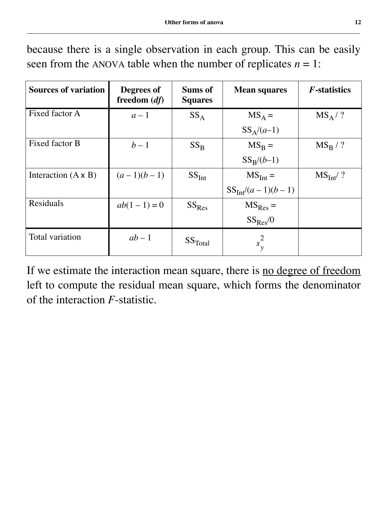because there is a single observation in each group. This can be easily seen from the ANOVA table when the number of replicates  $n = 1$ :

| <b>Sources of variation</b> | Degrees of<br>freedom $(df)$ | <b>Sums of</b><br><b>Squares</b> | <b>Mean squares</b>   | <i>F</i> -statistics |
|-----------------------------|------------------------------|----------------------------------|-----------------------|----------------------|
| Fixed factor A              | $a-1$                        | $SS_A$                           | $MS_A =$              | $MS_A / ?$           |
|                             |                              |                                  | $SS_A/(a-1)$          |                      |
| Fixed factor B              | $b-1$                        | $SS_{R}$                         | $MS_B =$              | $MS_R / ?$           |
|                             |                              |                                  | $SS_R/(b-1)$          |                      |
| Interaction $(A \times B)$  | $(a-1)(b-1)$                 | SS <sub>Int</sub>                | $MSInt =$             | $MS_{Int}/?$         |
|                             |                              |                                  | $SS_{Int}/(a-1)(b-1)$ |                      |
| Residuals                   | $ab(1-1)=0$                  | $SS_{Res}$                       | $MS_{Res} =$          |                      |
|                             |                              |                                  | $SS_{Res}/0$          |                      |
| Total variation             | $ab-1$                       | SS <sub>Total</sub>              | $s_v^2$               |                      |

If we estimate the interaction mean square, there is no degree of freedom left to compute the residual mean square, which forms the denominator of the interaction *F*-statistic.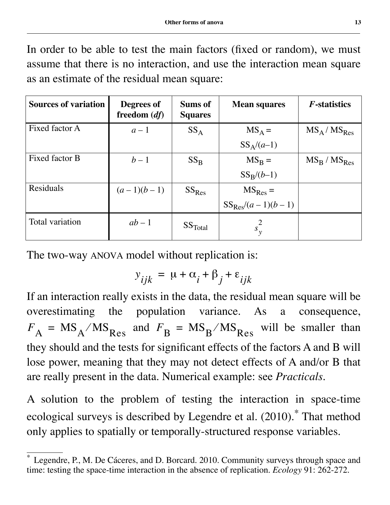In order to be able to test the main factors (fixed or random), we must assume that there is no interaction, and use the interaction mean square as an estimate of the residual mean square:

| <b>Sources of variation</b> | Degrees of<br>freedom $(df)$ | <b>Sums of</b><br><b>Squares</b> | <b>Mean squares</b>   | <i>F</i> -statistics |
|-----------------------------|------------------------------|----------------------------------|-----------------------|----------------------|
| Fixed factor A              | $a-1$                        | $SS_A$                           | $MS_A =$              | $MS_A / MS_{Res}$    |
|                             |                              |                                  | $SS_A/(a-1)$          |                      |
| Fixed factor B              | $b-1$                        | $SS_{\rm R}$                     | $MS_{\rm B} =$        | $MS_B / MS_{Res}$    |
|                             |                              |                                  | $SS_R/(b-1)$          |                      |
| <b>Residuals</b>            | $(a-1)(b-1)$                 | $SS_{Res}$                       | $MS_{Res} =$          |                      |
|                             |                              |                                  | $SS_{Res}/(a-1)(b-1)$ |                      |
| Total variation             | $ab-1$                       | SS <sub>Total</sub>              | $s_{\nu}^2$           |                      |

The two-way ANOVA model without replication is:

$$
y_{ijk} = \mu + \alpha_i + \beta_j + \varepsilon_{ijk}
$$

If an interaction really exists in the data, the residual mean square will be overestimating the population variance. As a consequence,  $F_A = MS_A / MS_{Res}$  and  $F_B = MS_B / MS_{Res}$  will be smaller than they should and the tests for significant effects of the factors A and B will lose power, meaning that they may not detect effects of A and/or B that are really present in the data. Numerical example: see *Practicals*.

A solution to the problem of testing the interaction in space-time ecological surveys is described by Legendre et al. (2010).\* That method only applies to spatially or temporally-structured response variables.

<sup>\*</sup> Legendre, P., M. De Cáceres, and D. Borcard. 2010. Community surveys through space and time: testing the space-time interaction in the absence of replication. *Ecology* 91: 262-272.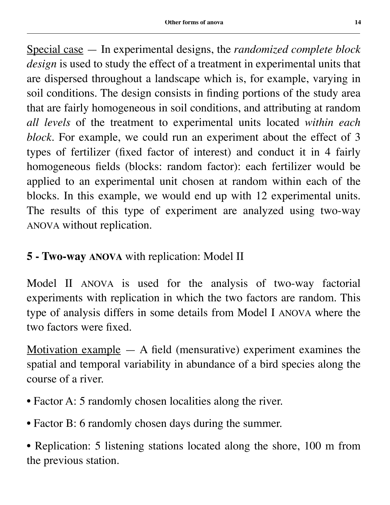Special case — In experimental designs, the *randomized complete block design* is used to study the effect of a treatment in experimental units that are dispersed throughout a landscape which is, for example, varying in soil conditions. The design consists in finding portions of the study area that are fairly homogeneous in soil conditions, and attributing at random *all levels* of the treatment to experimental units located *within each block*. For example, we could run an experiment about the effect of 3 types of fertilizer (fixed factor of interest) and conduct it in 4 fairly homogeneous fields (blocks: random factor): each fertilizer would be applied to an experimental unit chosen at random within each of the blocks. In this example, we would end up with 12 experimental units. The results of this type of experiment are analyzed using two-way ANOVA without replication.

# **5 - Two-way ANOVA** with replication: Model II

Model II ANOVA is used for the analysis of two-way factorial experiments with replication in which the two factors are random. This type of analysis differs in some details from Model I ANOVA where the two factors were fixed.

Motivation example  $-$  A field (mensurative) experiment examines the spatial and temporal variability in abundance of a bird species along the course of a river.

- Factor A: 5 randomly chosen localities along the river.
- Factor B: 6 randomly chosen days during the summer.

• Replication: 5 listening stations located along the shore, 100 m from the previous station.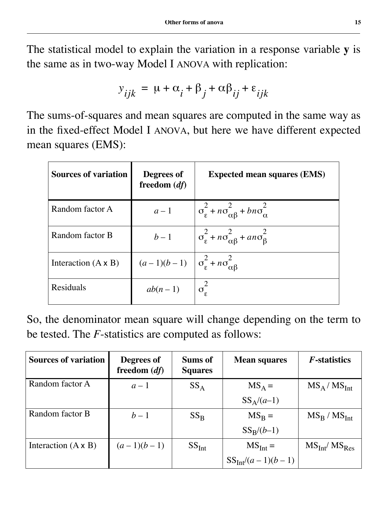The statistical model to explain the variation in a response variable **y** is the same as in two-way Model I ANOVA with replication:

$$
y_{ijk} = \mu + \alpha_i + \beta_j + \alpha \beta_{ij} + \varepsilon_{ijk}
$$

The sums-of-squares and mean squares are computed in the same way as in the fixed-effect Model I ANOVA, but here we have different expected mean squares (EMS):

| <b>Sources of variation</b> | Degrees of<br>freedom $(df)$                                    | <b>Expected mean squares (EMS)</b>                                        |
|-----------------------------|-----------------------------------------------------------------|---------------------------------------------------------------------------|
| Random factor A             | $a-1$                                                           | $\sigma_{\varepsilon}^2 + n\sigma_{\alpha\beta}^2 + b n\sigma_{\alpha}^2$ |
| Random factor B             | $b-1$                                                           | $\sigma_{\varepsilon}^2 + n\sigma_{\alpha\beta}^2 + a n\sigma_{\beta}^2$  |
| Interaction $(A \times B)$  | $(a-1)(b-1)$ $\sigma_{\varepsilon}^2 + n\sigma_{\alpha\beta}^2$ |                                                                           |
| Residuals                   | $ab(n-1)$                                                       | $\sigma_{\rm g}^2$                                                        |

So, the denominator mean square will change depending on the term to be tested. The *F*-statistics are computed as follows:

| <b>Sources of variation</b> | Degrees of<br>freedom $(df)$ | Sums of<br><b>Squares</b> | <b>Mean squares</b>   | <i>F</i> -statistics |
|-----------------------------|------------------------------|---------------------------|-----------------------|----------------------|
| Random factor A             | $a-1$                        | $SS_A$                    | $MS_A =$              | $MS_A / MS_{Int}$    |
|                             |                              |                           | $SS_A/(a-1)$          |                      |
| Random factor B             | $b-1$                        | $SS_{R}$                  | $MS_{\rm B} =$        | $MS_B / MS_{Int}$    |
|                             |                              |                           | $SS_R/(b-1)$          |                      |
| Interaction $(A \times B)$  | $(a-1)(b-1)$                 | SS <sub>Int</sub>         | $MS_{Int} =$          | $MS_{Int}/MS_{Res}$  |
|                             |                              |                           | $SS_{Int}/(a-1)(b-1)$ |                      |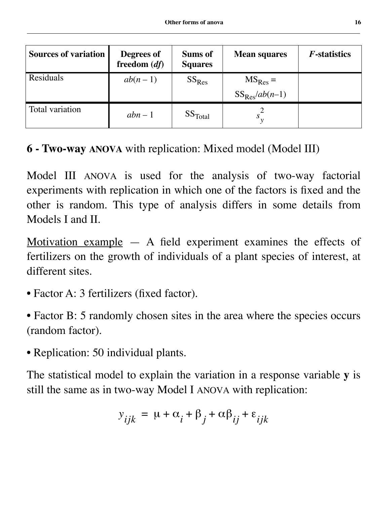| <b>Sources of variation</b> | <b>Degrees of</b><br>freedom $(df)$ | <b>Sums of</b><br><b>Squares</b> | <b>Mean squares</b> | <i>F</i> -statistics |
|-----------------------------|-------------------------------------|----------------------------------|---------------------|----------------------|
| Residuals                   | $ab(n-1)$                           | $SS_{Res}$                       | $MS_{Res} =$        |                      |
|                             |                                     |                                  | $SS_{Res}/ab(n-1)$  |                      |
| Total variation             | $abn-1$                             | SS <sub>Total</sub>              |                     |                      |

**6 - Two-way ANOVA** with replication: Mixed model (Model III)

Model III ANOVA is used for the analysis of two-way factorial experiments with replication in which one of the factors is fixed and the other is random. This type of analysis differs in some details from Models I and II.

Motivation example  $-$  A field experiment examines the effects of fertilizers on the growth of individuals of a plant species of interest, at different sites.

- Factor A: 3 fertilizers (fixed factor).
- Factor B: 5 randomly chosen sites in the area where the species occurs (random factor).
- Replication: 50 individual plants.

The statistical model to explain the variation in a response variable **y** is still the same as in two-way Model I ANOVA with replication:

$$
y_{ijk} = \mu + \alpha_i + \beta_j + \alpha \beta_{ij} + \varepsilon_{ijk}
$$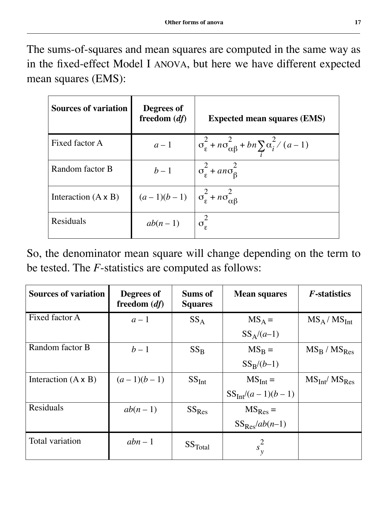The sums-of-squares and mean squares are computed in the same way as in the fixed-effect Model I ANOVA, but here we have different expected mean squares (EMS):

| <b>Sources of variation</b> | Degrees of<br>freedom $(df)$                                    | <b>Expected mean squares (EMS)</b>                                                |
|-----------------------------|-----------------------------------------------------------------|-----------------------------------------------------------------------------------|
| Fixed factor A              | $a-1$                                                           | $\sigma_{\varepsilon}^2 + n\sigma_{\alpha\beta}^2 + bn \sum_i \alpha_i^2 / (a-1)$ |
| Random factor B             | $b-1$                                                           | $\sigma_{\epsilon}^2$ + an $\sigma_{\beta}^2$                                     |
| Interaction $(A \times B)$  | $(a-1)(b-1)$ $\sigma_{\varepsilon}^2 + n\sigma_{\alpha\beta}^2$ |                                                                                   |
| Residuals                   | $ab(n-1)$                                                       |                                                                                   |

So, the denominator mean square will change depending on the term to be tested. The *F*-statistics are computed as follows:

| <b>Sources of variation</b> | Degrees of<br>freedom $(df)$ | <b>Sums of</b><br><b>Squares</b> | <b>Mean squares</b>   | <i>F</i> -statistics |
|-----------------------------|------------------------------|----------------------------------|-----------------------|----------------------|
| Fixed factor A              | $a-1$                        | $SS_A$                           | $MS_A =$              | $MS_A / MS_{Int}$    |
|                             |                              |                                  | $SS_A/(a-1)$          |                      |
| Random factor B             | $b-1$                        | $SS_{R}$                         | $MS_B =$              | $MS_R / MS_{Res}$    |
|                             |                              |                                  | $SS_R/(b-1)$          |                      |
| Interaction $(A \times B)$  | $(a-1)(b-1)$                 | SS <sub>Int</sub>                | $MSInt =$             | $MS_{Int}/MS_{Res}$  |
|                             |                              |                                  | $SS_{Int}/(a-1)(b-1)$ |                      |
| Residuals                   | $ab(n-1)$                    | $SS_{Res}$                       | $MS_{Res} =$          |                      |
|                             |                              |                                  | $SS_{Res}/ab(n-1)$    |                      |
| Total variation             | $abn-1$                      | SS <sub>Total</sub>              | $s_v^2$               |                      |